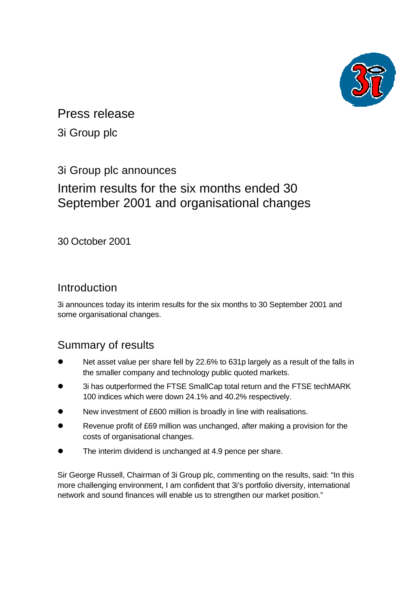

## Press release

3i Group plc

## 3i Group plc announces

# Interim results for the six months ended 30 September 2001 and organisational changes

30 October 2001

## Introduction

3i announces today its interim results for the six months to 30 September 2001 and some organisational changes.

## Summary of results

- Net asset value per share fell by 22.6% to 631p largely as a result of the falls in the smaller company and technology public quoted markets.
- 3i has outperformed the FTSE SmallCap total return and the FTSE techMARK 100 indices which were down 24.1% and 40.2% respectively.
- New investment of £600 million is broadly in line with realisations.
- Revenue profit of £69 million was unchanged, after making a provision for the costs of organisational changes.
- The interim dividend is unchanged at 4.9 pence per share.

Sir George Russell, Chairman of 3i Group plc, commenting on the results, said: "In this more challenging environment, I am confident that 3i's portfolio diversity, international network and sound finances will enable us to strengthen our market position."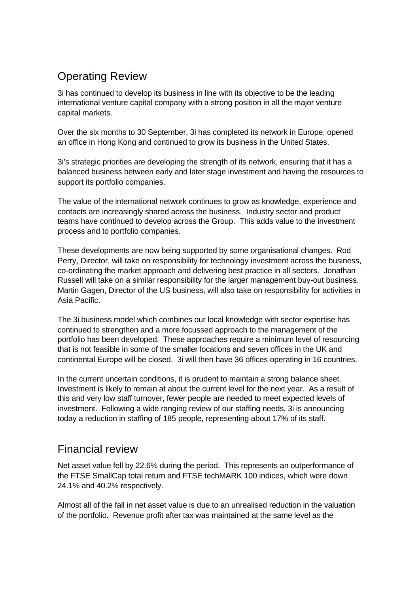## Operating Review

3i has continued to develop its business in line with its objective to be the leading international venture capital company with a strong position in all the major venture capital markets.

Over the six months to 30 September, 3i has completed its network in Europe, opened an office in Hong Kong and continued to grow its business in the United States.

3i's strategic priorities are developing the strength of its network, ensuring that it has a balanced business between early and later stage investment and having the resources to support its portfolio companies.

The value of the international network continues to grow as knowledge, experience and contacts are increasingly shared across the business. Industry sector and product teams have continued to develop across the Group. This adds value to the investment process and to portfolio companies.

These developments are now being supported by some organisational changes. Rod Perry, Director, will take on responsibility for technology investment across the business, co-ordinating the market approach and delivering best practice in all sectors. Jonathan Russell will take on a similar responsibility for the larger management buy-out business. Martin Gagen, Director of the US business, will also take on responsibility for activities in Asia Pacific.

The 3i business model which combines our local knowledge with sector expertise has continued to strengthen and a more focussed approach to the management of the portfolio has been developed. These approaches require a minimum level of resourcing that is not feasible in some of the smaller locations and seven offices in the UK and continental Europe will be closed. 3i will then have 36 offices operating in 16 countries.

In the current uncertain conditions, it is prudent to maintain a strong balance sheet. Investment is likely to remain at about the current level for the next year. As a result of this and very low staff turnover, fewer people are needed to meet expected levels of investment. Following a wide ranging review of our staffing needs, 3i is announcing today a reduction in staffing of 185 people, representing about 17% of its staff.

## Financial review

Net asset value fell by 22.6% during the period. This represents an outperformance of the FTSE SmallCap total return and FTSE techMARK 100 indices, which were down 24.1% and 40.2% respectively.

Almost all of the fall in net asset value is due to an unrealised reduction in the valuation of the portfolio. Revenue profit after tax was maintained at the same level as the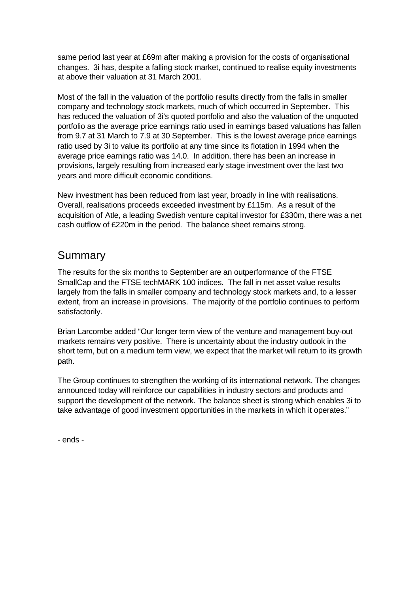same period last year at £69m after making a provision for the costs of organisational changes. 3i has, despite a falling stock market, continued to realise equity investments at above their valuation at 31 March 2001.

Most of the fall in the valuation of the portfolio results directly from the falls in smaller company and technology stock markets, much of which occurred in September. This has reduced the valuation of 3i's quoted portfolio and also the valuation of the unquoted portfolio as the average price earnings ratio used in earnings based valuations has fallen from 9.7 at 31 March to 7.9 at 30 September. This is the lowest average price earnings ratio used by 3i to value its portfolio at any time since its flotation in 1994 when the average price earnings ratio was 14.0. In addition, there has been an increase in provisions, largely resulting from increased early stage investment over the last two years and more difficult economic conditions.

New investment has been reduced from last year, broadly in line with realisations. Overall, realisations proceeds exceeded investment by £115m. As a result of the acquisition of Atle, a leading Swedish venture capital investor for £330m, there was a net cash outflow of £220m in the period. The balance sheet remains strong.

## Summary

The results for the six months to September are an outperformance of the FTSE SmallCap and the FTSE techMARK 100 indices. The fall in net asset value results largely from the falls in smaller company and technology stock markets and, to a lesser extent, from an increase in provisions. The majority of the portfolio continues to perform satisfactorily.

Brian Larcombe added "Our longer term view of the venture and management buy-out markets remains very positive. There is uncertainty about the industry outlook in the short term, but on a medium term view, we expect that the market will return to its growth path.

The Group continues to strengthen the working of its international network. The changes announced today will reinforce our capabilities in industry sectors and products and support the development of the network. The balance sheet is strong which enables 3i to take advantage of good investment opportunities in the markets in which it operates."

- ends -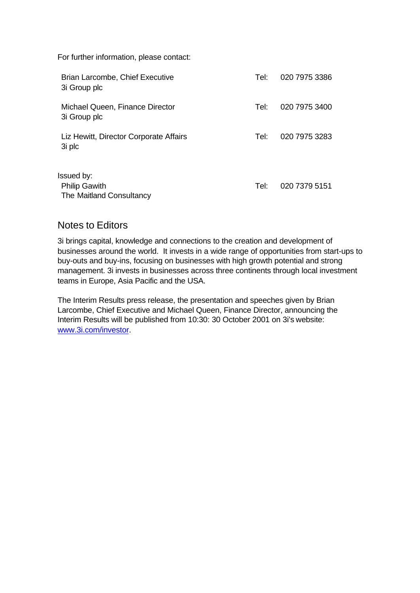For further information, please contact:

| Brian Larcombe, Chief Executive<br>3i Group plc                | Tel: | 020 7975 3386 |
|----------------------------------------------------------------|------|---------------|
| Michael Queen, Finance Director<br>3i Group plc                | Tel: | 020 7975 3400 |
| Liz Hewitt, Director Corporate Affairs<br>3i plc               | Tel: | 020 7975 3283 |
| Issued by:<br><b>Philip Gawith</b><br>The Maitland Consultancy | Tel: | 020 7379 5151 |

## Notes to Editors

3i brings capital, knowledge and connections to the creation and development of businesses around the world. It invests in a wide range of opportunities from start-ups to buy-outs and buy-ins, focusing on businesses with high growth potential and strong management. 3i invests in businesses across three continents through local investment teams in Europe, Asia Pacific and the USA.

The Interim Results press release, the presentation and speeches given by Brian Larcombe, Chief Executive and Michael Queen, Finance Director, announcing the Interim Results will be published from 10:30: 30 October 2001 on 3i's website: www.3i.com/investor.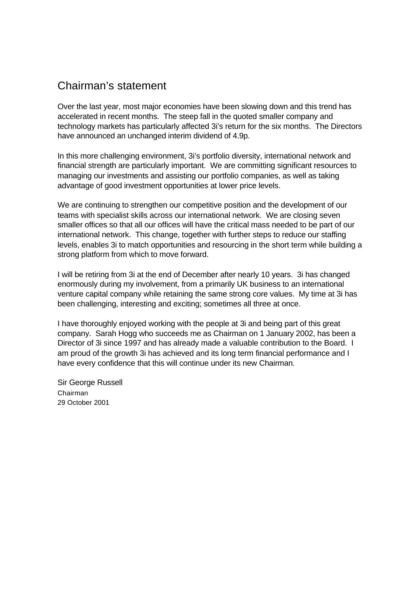## Chairman's statement

Over the last year, most major economies have been slowing down and this trend has accelerated in recent months. The steep fall in the quoted smaller company and technology markets has particularly affected 3i's return for the six months. The Directors have announced an unchanged interim dividend of 4.9p.

In this more challenging environment, 3i's portfolio diversity, international network and financial strength are particularly important. We are committing significant resources to managing our investments and assisting our portfolio companies, as well as taking advantage of good investment opportunities at lower price levels.

We are continuing to strengthen our competitive position and the development of our teams with specialist skills across our international network. We are closing seven smaller offices so that all our offices will have the critical mass needed to be part of our international network. This change, together with further steps to reduce our staffing levels, enables 3i to match opportunities and resourcing in the short term while building a strong platform from which to move forward.

I will be retiring from 3i at the end of December after nearly 10 years. 3i has changed enormously during my involvement, from a primarily UK business to an international venture capital company while retaining the same strong core values. My time at 3i has been challenging, interesting and exciting; sometimes all three at once.

I have thoroughly enjoyed working with the people at 3i and being part of this great company. Sarah Hogg who succeeds me as Chairman on 1 January 2002, has been a Director of 3i since 1997 and has already made a valuable contribution to the Board. I am proud of the growth 3i has achieved and its long term financial performance and I have every confidence that this will continue under its new Chairman.

Sir George Russell Chairman 29 October 2001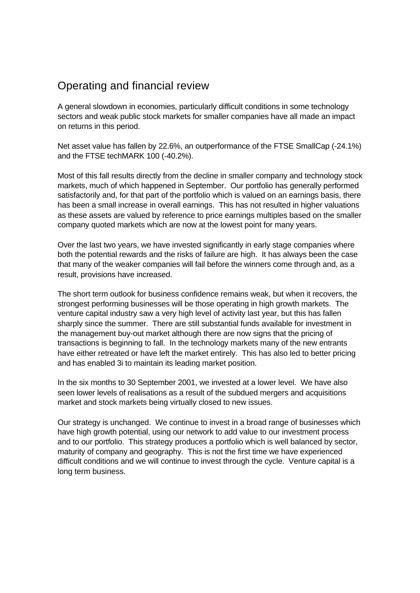## Operating and financial review

A general slowdown in economies, particularly difficult conditions in some technology sectors and weak public stock markets for smaller companies have all made an impact on returns in this period.

Net asset value has fallen by 22.6%, an outperformance of the FTSE SmallCap (-24.1%) and the FTSE techMARK 100 (-40.2%).

Most of this fall results directly from the decline in smaller company and technology stock markets, much of which happened in September. Our portfolio has generally performed satisfactorily and, for that part of the portfolio which is valued on an earnings basis, there has been a small increase in overall earnings. This has not resulted in higher valuations as these assets are valued by reference to price earnings multiples based on the smaller company quoted markets which are now at the lowest point for many years.

Over the last two years, we have invested significantly in early stage companies where both the potential rewards and the risks of failure are high. It has always been the case that many of the weaker companies will fail before the winners come through and, as a result, provisions have increased.

The short term outlook for business confidence remains weak, but when it recovers, the strongest performing businesses will be those operating in high growth markets. The venture capital industry saw a very high level of activity last year, but this has fallen sharply since the summer. There are still substantial funds available for investment in the management buy-out market although there are now signs that the pricing of transactions is beginning to fall. In the technology markets many of the new entrants have either retreated or have left the market entirely. This has also led to better pricing and has enabled 3i to maintain its leading market position.

In the six months to 30 September 2001, we invested at a lower level. We have also seen lower levels of realisations as a result of the subdued mergers and acquisitions market and stock markets being virtually closed to new issues.

Our strategy is unchanged. We continue to invest in a broad range of businesses which have high growth potential, using our network to add value to our investment process and to our portfolio. This strategy produces a portfolio which is well balanced by sector, maturity of company and geography. This is not the first time we have experienced difficult conditions and we will continue to invest through the cycle. Venture capital is a long term business.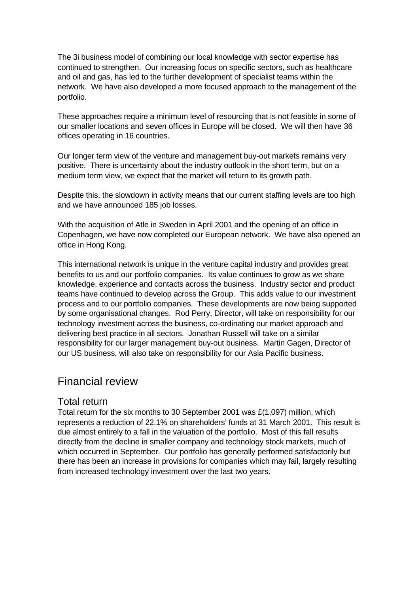The 3i business model of combining our local knowledge with sector expertise has continued to strengthen. Our increasing focus on specific sectors, such as healthcare and oil and gas, has led to the further development of specialist teams within the network. We have also developed a more focused approach to the management of the portfolio.

These approaches require a minimum level of resourcing that is not feasible in some of our smaller locations and seven offices in Europe will be closed. We will then have 36 offices operating in 16 countries.

Our longer term view of the venture and management buy-out markets remains very positive. There is uncertainty about the industry outlook in the short term, but on a medium term view, we expect that the market will return to its growth path.

Despite this, the slowdown in activity means that our current staffing levels are too high and we have announced 185 job losses.

With the acquisition of Atle in Sweden in April 2001 and the opening of an office in Copenhagen, we have now completed our European network. We have also opened an office in Hong Kong.

This international network is unique in the venture capital industry and provides great benefits to us and our portfolio companies. Its value continues to grow as we share knowledge, experience and contacts across the business. Industry sector and product teams have continued to develop across the Group. This adds value to our investment process and to our portfolio companies. These developments are now being supported by some organisational changes. Rod Perry, Director, will take on responsibility for our technology investment across the business, co-ordinating our market approach and delivering best practice in all sectors. Jonathan Russell will take on a similar responsibility for our larger management buy-out business. Martin Gagen, Director of our US business, will also take on responsibility for our Asia Pacific business.

## Financial review

## Total return

Total return for the six months to 30 September 2001 was £(1,097) million, which represents a reduction of 22.1% on shareholders' funds at 31 March 2001. This result is due almost entirely to a fall in the valuation of the portfolio. Most of this fall results directly from the decline in smaller company and technology stock markets, much of which occurred in September. Our portfolio has generally performed satisfactorily but there has been an increase in provisions for companies which may fail, largely resulting from increased technology investment over the last two years.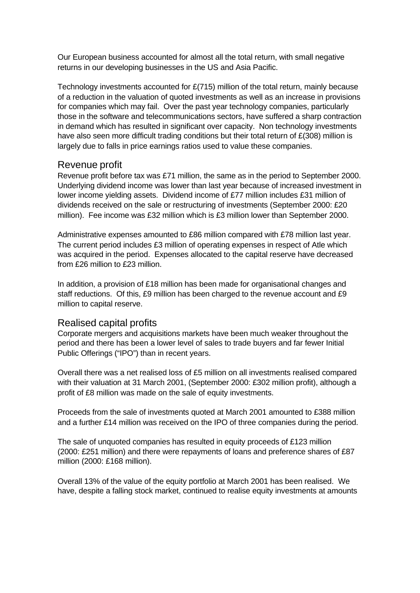Our European business accounted for almost all the total return, with small negative returns in our developing businesses in the US and Asia Pacific.

Technology investments accounted for £(715) million of the total return, mainly because of a reduction in the valuation of quoted investments as well as an increase in provisions for companies which may fail. Over the past year technology companies, particularly those in the software and telecommunications sectors, have suffered a sharp contraction in demand which has resulted in significant over capacity. Non technology investments have also seen more difficult trading conditions but their total return of £(308) million is largely due to falls in price earnings ratios used to value these companies.

### Revenue profit

Revenue profit before tax was £71 million, the same as in the period to September 2000. Underlying dividend income was lower than last year because of increased investment in lower income yielding assets. Dividend income of £77 million includes £31 million of dividends received on the sale or restructuring of investments (September 2000: £20 million). Fee income was £32 million which is £3 million lower than September 2000.

Administrative expenses amounted to £86 million compared with £78 million last year. The current period includes £3 million of operating expenses in respect of Atle which was acquired in the period. Expenses allocated to the capital reserve have decreased from £26 million to £23 million.

In addition, a provision of £18 million has been made for organisational changes and staff reductions. Of this, £9 million has been charged to the revenue account and £9 million to capital reserve.

## Realised capital profits

Corporate mergers and acquisitions markets have been much weaker throughout the period and there has been a lower level of sales to trade buyers and far fewer Initial Public Offerings ("IPO") than in recent years.

Overall there was a net realised loss of £5 million on all investments realised compared with their valuation at 31 March 2001, (September 2000: £302 million profit), although a profit of £8 million was made on the sale of equity investments.

Proceeds from the sale of investments quoted at March 2001 amounted to £388 million and a further £14 million was received on the IPO of three companies during the period.

The sale of unquoted companies has resulted in equity proceeds of £123 million (2000: £251 million) and there were repayments of loans and preference shares of £87 million (2000: £168 million).

Overall 13% of the value of the equity portfolio at March 2001 has been realised. We have, despite a falling stock market, continued to realise equity investments at amounts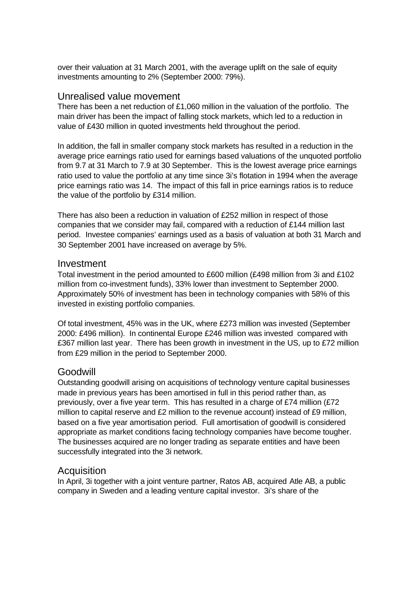over their valuation at 31 March 2001, with the average uplift on the sale of equity investments amounting to 2% (September 2000: 79%).

### Unrealised value movement

There has been a net reduction of £1,060 million in the valuation of the portfolio. The main driver has been the impact of falling stock markets, which led to a reduction in value of £430 million in quoted investments held throughout the period.

In addition, the fall in smaller company stock markets has resulted in a reduction in the average price earnings ratio used for earnings based valuations of the unquoted portfolio from 9.7 at 31 March to 7.9 at 30 September. This is the lowest average price earnings ratio used to value the portfolio at any time since 3i's flotation in 1994 when the average price earnings ratio was 14. The impact of this fall in price earnings ratios is to reduce the value of the portfolio by £314 million.

There has also been a reduction in valuation of £252 million in respect of those companies that we consider may fail, compared with a reduction of £144 million last period. Investee companies' earnings used as a basis of valuation at both 31 March and 30 September 2001 have increased on average by 5%.

#### Investment

Total investment in the period amounted to £600 million (£498 million from 3i and £102 million from co-investment funds), 33% lower than investment to September 2000. Approximately 50% of investment has been in technology companies with 58% of this invested in existing portfolio companies.

Of total investment, 45% was in the UK, where £273 million was invested (September 2000: £496 million). In continental Europe £246 million was invested compared with £367 million last year. There has been growth in investment in the US, up to £72 million from £29 million in the period to September 2000.

### Goodwill

Outstanding goodwill arising on acquisitions of technology venture capital businesses made in previous years has been amortised in full in this period rather than, as previously, over a five year term. This has resulted in a charge of £74 million (£72 million to capital reserve and £2 million to the revenue account) instead of £9 million, based on a five year amortisation period. Full amortisation of goodwill is considered appropriate as market conditions facing technology companies have become tougher. The businesses acquired are no longer trading as separate entities and have been successfully integrated into the 3i network.

### Acquisition

In April, 3i together with a joint venture partner, Ratos AB, acquired Atle AB, a public company in Sweden and a leading venture capital investor. 3i's share of the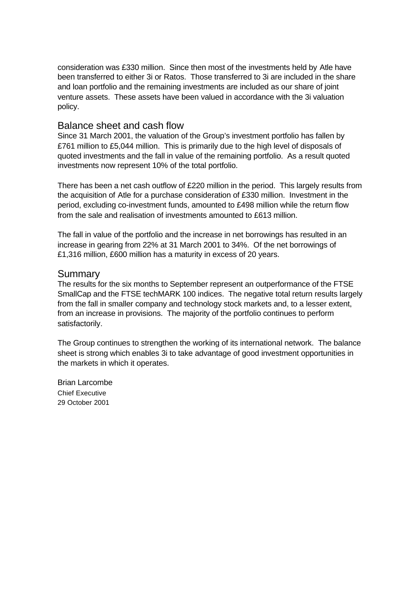consideration was £330 million. Since then most of the investments held by Atle have been transferred to either 3i or Ratos. Those transferred to 3i are included in the share and loan portfolio and the remaining investments are included as our share of joint venture assets. These assets have been valued in accordance with the 3i valuation policy.

#### Balance sheet and cash flow

Since 31 March 2001, the valuation of the Group's investment portfolio has fallen by £761 million to £5,044 million. This is primarily due to the high level of disposals of quoted investments and the fall in value of the remaining portfolio. As a result quoted investments now represent 10% of the total portfolio.

There has been a net cash outflow of £220 million in the period. This largely results from the acquisition of Atle for a purchase consideration of £330 million. Investment in the period, excluding co-investment funds, amounted to £498 million while the return flow from the sale and realisation of investments amounted to £613 million.

The fall in value of the portfolio and the increase in net borrowings has resulted in an increase in gearing from 22% at 31 March 2001 to 34%. Of the net borrowings of £1,316 million, £600 million has a maturity in excess of 20 years.

#### **Summary**

The results for the six months to September represent an outperformance of the FTSE SmallCap and the FTSE techMARK 100 indices. The negative total return results largely from the fall in smaller company and technology stock markets and, to a lesser extent, from an increase in provisions. The majority of the portfolio continues to perform satisfactorily.

The Group continues to strengthen the working of its international network. The balance sheet is strong which enables 3i to take advantage of good investment opportunities in the markets in which it operates.

Brian Larcombe Chief Executive 29 October 2001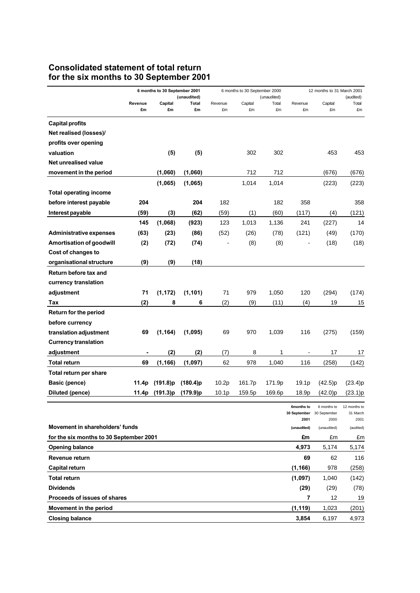## **Consolidated statement of total return for the six months to 30 September 2001**

| (unaudited)<br>(unaudited)<br>Revenue<br>Capital<br>Total<br>Revenue<br>Capital<br>Total<br>Revenue<br>Capital<br>£m<br>£m<br>£m<br>£m<br>£m<br>£m<br>£m<br>£m | (audited)<br>Total<br>£m |
|----------------------------------------------------------------------------------------------------------------------------------------------------------------|--------------------------|
|                                                                                                                                                                |                          |
|                                                                                                                                                                |                          |
| <b>Capital profits</b>                                                                                                                                         |                          |
| Net realised (losses)/                                                                                                                                         |                          |
| profits over opening                                                                                                                                           |                          |
| (5)<br>(5)<br>302<br>302<br>453<br>valuation                                                                                                                   | 453                      |
| Net unrealised value                                                                                                                                           |                          |
| (1,060)<br>(1,060)<br>712<br>712<br>(676)<br>movement in the period                                                                                            | (676)                    |
| (1,065)<br>1,014<br>(1,065)<br>1,014<br>(223)                                                                                                                  | (223)                    |
| <b>Total operating income</b>                                                                                                                                  |                          |
| 204<br>182<br>182<br>before interest payable<br>204<br>358                                                                                                     | 358                      |
| Interest payable<br>(59)<br>(3)<br>(62)<br>(59)<br>(1)<br>(60)<br>(117)<br>(4)                                                                                 | (121)                    |
| 145<br>(1,068)<br>(923)<br>123<br>1,013<br>241<br>1,136<br>(227)                                                                                               | 14                       |
| (63)<br>(23)<br>(86)<br>(52)<br>(26)<br>(78)<br>(121)<br>(49)<br><b>Administrative expenses</b>                                                                | (170)                    |
| (8)<br><b>Amortisation of goodwill</b><br>(2)<br>(72)<br>(8)<br>(18)<br>(74)                                                                                   | (18)                     |
| Cost of changes to                                                                                                                                             |                          |
| (9)<br>(9)<br>(18)<br>organisational structure                                                                                                                 |                          |
| Return before tax and                                                                                                                                          |                          |
| currency translation                                                                                                                                           |                          |
| (1, 172)<br>(1, 101)<br>adjustment<br>71<br>71<br>979<br>1,050<br>120<br>(294)                                                                                 | (174)                    |
| (2)<br>(2)<br>8<br>(9)<br>(11)<br>(4)<br>19<br>Tax<br>6                                                                                                        | 15                       |
| <b>Return for the period</b>                                                                                                                                   |                          |
| before currency                                                                                                                                                |                          |
| 69<br>(1, 164)<br>(1,095)<br>69<br>970<br>1,039<br>116<br>(275)<br>translation adjustment                                                                      | (159)                    |
| <b>Currency translation</b>                                                                                                                                    |                          |
| (2)<br>(2)<br>(7)<br>8<br>1<br>17<br>adjustment                                                                                                                | 17                       |
| (1, 166)<br>62<br><b>Total return</b><br>69<br>(1,097)<br>978<br>1,040<br>116<br>(258)                                                                         | (142)                    |
| Total return per share                                                                                                                                         |                          |
| <b>Basic (pence)</b><br>(191.8)p<br>$(180.4)$ p<br>10.2p<br>161.7p<br>171.9p<br>19.1p<br>(42.5)p<br>11.4p                                                      | (23.4)p                  |
| (191.3)p<br>(179.9)p<br>10.1 <sub>p</sub><br>159.5p<br>(42.0)p<br>Diluted (pence)<br>11.4p<br>169.6p<br>18.9p                                                  | (23.1)p                  |
| 6months to<br>6 months to                                                                                                                                      | 12 months to             |
| 30 September<br>30 September<br>2001<br>2000                                                                                                                   | 31 March<br>2001         |
| Movement in shareholders' funds<br>(unaudited)<br>(unaudited)                                                                                                  | (audited)                |
| for the six months to 30 September 2001<br>£m<br>£m                                                                                                            | £m                       |
| 4,973<br><b>Opening balance</b><br>5,174                                                                                                                       | 5,174                    |
| Revenue return<br>69<br>62                                                                                                                                     | 116                      |
| (1, 166)<br>978<br>Capital return                                                                                                                              | (258)                    |
| <b>Total return</b><br>(1,097)<br>1,040                                                                                                                        | (142)                    |
| <b>Dividends</b><br>(29)<br>(29)                                                                                                                               | (78)                     |
| 7<br>Proceeds of issues of shares<br>12                                                                                                                        | 19                       |
| Movement in the period<br>(1, 119)<br>1,023                                                                                                                    | (201)                    |
| <b>Closing balance</b><br>3,854<br>6,197                                                                                                                       | 4,973                    |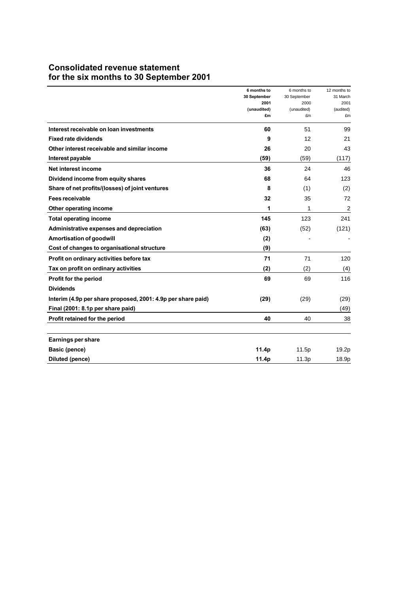## **Consolidated revenue statement for the six months to 30 September 2001**

|                                                              | 6 months to<br>30 September<br>2001 | 6 months to<br>30 September<br>2000 | 12 months to<br>31 March<br>2001 |
|--------------------------------------------------------------|-------------------------------------|-------------------------------------|----------------------------------|
|                                                              | (unaudited)<br>£m                   | (unaudited)<br>£m                   | (audited)<br>£m                  |
| Interest receivable on loan investments                      | 60                                  | 51                                  | 99                               |
| <b>Fixed rate dividends</b>                                  | 9                                   | 12                                  | 21                               |
| Other interest receivable and similar income                 | 26                                  | 20                                  | 43                               |
| Interest payable                                             | (59)                                | (59)                                | (117)                            |
| Net interest income                                          | 36                                  | 24                                  | 46                               |
| Dividend income from equity shares                           | 68                                  | 64                                  | 123                              |
| Share of net profits/(losses) of joint ventures              | 8                                   | (1)                                 | (2)                              |
| Fees receivable                                              | 32                                  | 35                                  | 72                               |
| Other operating income                                       | 1                                   | 1                                   | $\overline{c}$                   |
| <b>Total operating income</b>                                | 145                                 | 123                                 | 241                              |
| Administrative expenses and depreciation                     | (63)                                | (52)                                | (121)                            |
| Amortisation of goodwill                                     | (2)                                 |                                     |                                  |
| Cost of changes to organisational structure                  | (9)                                 |                                     |                                  |
| Profit on ordinary activities before tax                     | 71                                  | 71                                  | 120                              |
| Tax on profit on ordinary activities                         | (2)                                 | (2)                                 | (4)                              |
| Profit for the period                                        | 69                                  | 69                                  | 116                              |
| <b>Dividends</b>                                             |                                     |                                     |                                  |
| Interim (4.9p per share proposed, 2001: 4.9p per share paid) | (29)                                | (29)                                | (29)                             |
| Final (2001: 8.1p per share paid)                            |                                     |                                     | (49)                             |
| Profit retained for the period                               | 40                                  | 40                                  | 38                               |
|                                                              |                                     |                                     |                                  |
| <b>Earnings per share</b>                                    |                                     |                                     |                                  |
| Basic (pence)                                                | 11.4p                               | 11.5p                               | 19.2p                            |
| <b>Diluted (pence)</b>                                       | 11.4p                               | 11.3p                               | 18.9p                            |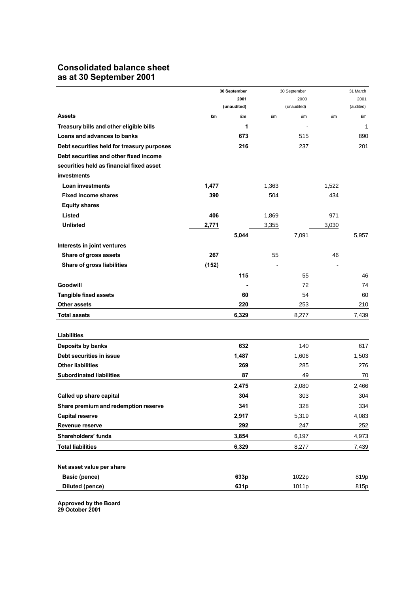## **Consolidated balance sheet as at 30 September 2001**

|                                            |       | 30 September |       | 30 September |       | 31 March  |
|--------------------------------------------|-------|--------------|-------|--------------|-------|-----------|
|                                            | 2001  |              | 2000  |              |       | 2001      |
|                                            |       | (unaudited)  |       | (unaudited)  |       | (audited) |
| <b>Assets</b>                              | £m    | £m           | £m    | £m           | £m    | £m        |
| Treasury bills and other eligible bills    |       | 1            |       |              |       | 1         |
| Loans and advances to banks                |       | 673          |       | 515          |       | 890       |
| Debt securities held for treasury purposes |       | 216          |       | 237          |       | 201       |
| Debt securities and other fixed income     |       |              |       |              |       |           |
| securities held as financial fixed asset   |       |              |       |              |       |           |
| <b>investments</b>                         |       |              |       |              |       |           |
| <b>Loan investments</b>                    | 1,477 |              | 1,363 |              | 1,522 |           |
| <b>Fixed income shares</b>                 | 390   |              | 504   |              | 434   |           |
| <b>Equity shares</b>                       |       |              |       |              |       |           |
| <b>Listed</b>                              | 406   |              | 1,869 |              | 971   |           |
| <b>Unlisted</b>                            | 2,771 |              | 3,355 |              | 3,030 |           |
|                                            |       | 5,044        |       | 7,091        |       | 5,957     |
| Interests in joint ventures                |       |              |       |              |       |           |
| Share of gross assets                      | 267   |              | 55    |              | 46    |           |
| Share of gross liabilities                 | (152) |              |       |              |       |           |
|                                            |       | 115          |       | 55           |       | 46        |
| <b>Goodwill</b>                            |       |              |       | 72           |       | 74        |
| <b>Tangible fixed assets</b>               |       | 60           |       | 54           |       | 60        |
| Other assets                               |       | 220          |       | 253          |       | 210       |
| <b>Total assets</b>                        |       | 6,329        |       | 8,277        |       | 7,439     |
|                                            |       |              |       |              |       |           |
| <b>Liabilities</b>                         |       |              |       |              |       |           |
| Deposits by banks                          |       | 632          |       | 140          |       | 617       |
| Debt securities in issue                   |       | 1,487        |       | 1,606        |       | 1,503     |
| <b>Other liabilities</b>                   |       | 269          |       | 285          |       | 276       |
| <b>Subordinated liabilities</b>            |       | 87           |       | 49           |       | 70        |
|                                            |       | 2,475        |       | 2,080        |       | 2,466     |
| Called up share capital                    |       | 304          |       | 303          |       | 304       |
| Share premium and redemption reserve       |       | 341          |       | 328          |       | 334       |
| <b>Capital reserve</b>                     |       | 2,917        |       | 5,319        |       | 4,083     |
| Revenue reserve                            |       | 292          |       | 247          |       | 252       |
| Shareholders' funds                        |       | 3,854        |       | 6,197        |       | 4,973     |
| <b>Total liabilities</b>                   |       | 6,329        |       | 8,277        |       | 7,439     |
|                                            |       |              |       |              |       |           |
| Net asset value per share                  |       |              |       |              |       |           |
| <b>Basic (pence)</b>                       |       | 633p         |       | 1022p        |       | 819p      |
| <b>Diluted (pence)</b>                     |       | 631p         |       | 1011p        |       | 815p      |
|                                            |       |              |       |              |       |           |

**Approved by the Board 29 October 2001**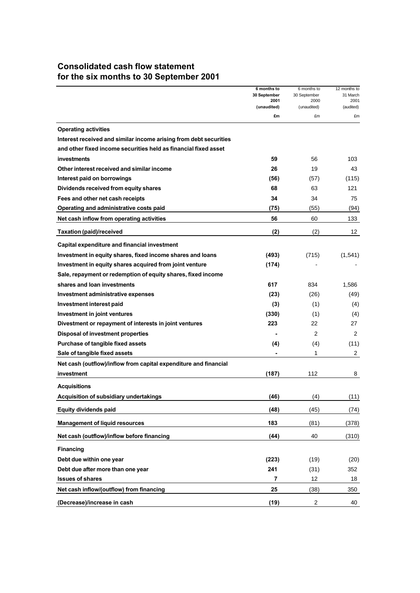## **Consolidated cash flow statement for the six months to 30 September 2001**

|                                                                   | 6 months to         | 6 months to         | 12 months to      |
|-------------------------------------------------------------------|---------------------|---------------------|-------------------|
|                                                                   | 30 September        | 30 September        | 31 March          |
|                                                                   | 2001<br>(unaudited) | 2000<br>(unaudited) | 2001<br>(audited) |
|                                                                   | £m                  | £m                  | £m                |
| <b>Operating activities</b>                                       |                     |                     |                   |
| Interest received and similar income arising from debt securities |                     |                     |                   |
| and other fixed income securities held as financial fixed asset   |                     |                     |                   |
| investments                                                       | 59                  | 56                  | 103               |
| Other interest received and similar income                        | 26                  | 19                  | 43                |
| Interest paid on borrowings                                       | (56)                | (57)                | (115)             |
| Dividends received from equity shares                             | 68                  | 63                  | 121               |
| Fees and other net cash receipts                                  | 34                  | 34                  | 75                |
| Operating and administrative costs paid                           | (75)                | (55)                | (94)              |
| Net cash inflow from operating activities                         | 56                  | 60                  | 133               |
| <b>Taxation (paid)/received</b>                                   | (2)                 | (2)                 | 12                |
| Capital expenditure and financial investment                      |                     |                     |                   |
| Investment in equity shares, fixed income shares and loans        | (493)               | (715)               | (1, 541)          |
| Investment in equity shares acquired from joint venture           | (174)               |                     |                   |
| Sale, repayment or redemption of equity shares, fixed income      |                     |                     |                   |
| shares and loan investments                                       | 617                 | 834                 | 1,586             |
| Investment administrative expenses                                | (23)                | (26)                | (49)              |
| Investment interest paid                                          | (3)                 | (1)                 | (4)               |
| Investment in joint ventures                                      | (330)               | (1)                 | (4)               |
| Divestment or repayment of interests in joint ventures            | 223                 | 22                  | 27                |
| <b>Disposal of investment properties</b>                          |                     | 2                   | 2                 |
| Purchase of tangible fixed assets                                 | (4)                 | (4)                 | (11)              |
| Sale of tangible fixed assets                                     |                     | 1                   | 2                 |
| Net cash (outflow)/inflow from capital expenditure and financial  |                     |                     |                   |
| investment                                                        | (187)               | 112                 | 8                 |
| <b>Acquisitions</b>                                               |                     |                     |                   |
| Acquisition of subsidiary undertakings                            | (46)                | (4)                 | (11)              |
| <b>Equity dividends paid</b>                                      | (48)                | (45)                | (74)              |
| <b>Management of liquid resources</b>                             | 183                 | (81)                | (378)             |
| Net cash (outflow)/inflow before financing                        | (44)                | 40                  | (310)             |
| <b>Financing</b>                                                  |                     |                     |                   |
| Debt due within one year                                          | (223)               | (19)                | (20)              |
| Debt due after more than one year                                 | 241                 | (31)                | 352               |
| <b>Issues of shares</b>                                           | 7                   | 12                  | 18                |
| Net cash inflow/(outflow) from financing                          | 25                  | (38)                | 350               |
| (Decrease)/increase in cash                                       | (19)                | $\boldsymbol{2}$    | 40                |
|                                                                   |                     |                     |                   |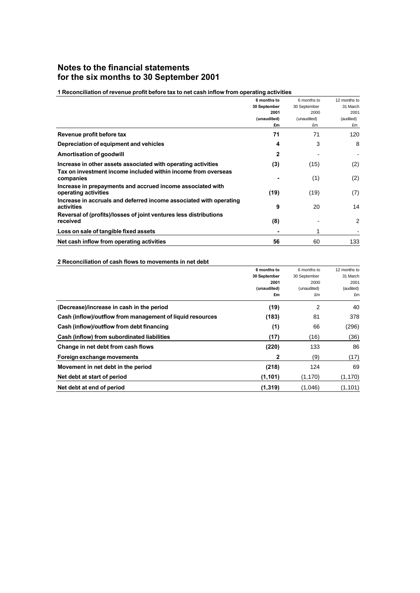### **Notes to the financial statements for the six months to 30 September 2001**

#### **1 Reconciliation of revenue profit before tax to net cash inflow from operating activities**

|                                                                    | 6 months to  | 6 months to  | 12 months to |
|--------------------------------------------------------------------|--------------|--------------|--------------|
|                                                                    | 30 September | 30 September | 31 March     |
|                                                                    | 2001         | 2000         | 2001         |
|                                                                    | (unaudited)  | (unaudited)  | (audited)    |
|                                                                    | £m           | £m           | £m           |
| Revenue profit before tax                                          | 71           | 71           | 120          |
| Depreciation of equipment and vehicles                             | 4            | 3            | 8            |
| Amortisation of goodwill                                           | $\mathbf{2}$ |              |              |
| Increase in other assets associated with operating activities      | (3)          | (15)         | (2)          |
| Tax on investment income included within income from overseas      |              |              |              |
| companies                                                          |              | (1)          | (2)          |
| Increase in prepayments and accrued income associated with         |              |              |              |
| operating activities                                               | (19)         | (19)         | (7)          |
| Increase in accruals and deferred income associated with operating |              |              |              |
| activities                                                         | 9            | 20           | 14           |
| Reversal of (profits)/losses of joint ventures less distributions  |              |              |              |
| received                                                           | (8)          |              | 2            |
| Loss on sale of tangible fixed assets                              |              |              |              |
| Net cash inflow from operating activities                          | 56           | 60           | 133          |

#### **2 Reconciliation of cash flows to movements in net debt**

|                                                           | 6 months to  | 6 months to  | 12 months to |
|-----------------------------------------------------------|--------------|--------------|--------------|
|                                                           | 30 September | 30 September | 31 March     |
|                                                           | 2001         | 2000         | 2001         |
|                                                           | (unaudited)  | (unaudited)  | (audited)    |
|                                                           | £m           | £m           | £m           |
| (Decrease)/increase in cash in the period                 | (19)         | 2            | 40           |
| Cash (inflow)/outflow from management of liquid resources | (183)        | 81           | 378          |
| Cash (inflow)/outflow from debt financing                 | (1)          | 66           | (296)        |
| Cash (inflow) from subordinated liabilities               | (17)         | (16)         | (36)         |
| Change in net debt from cash flows                        | (220)        | 133          | 86           |
| Foreign exchange movements                                | 2            | (9)          | (17)         |
| Movement in net debt in the period                        | (218)        | 124          | 69           |
| Net debt at start of period                               | (1, 101)     | (1, 170)     | (1, 170)     |
| Net debt at end of period                                 | (1,319)      | (1,046)      | (1, 101)     |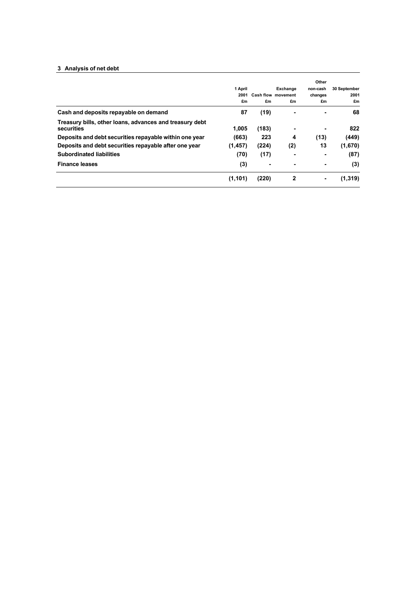#### **3 Analysis of net debt**

|                                                                       | 1 April<br>2001<br>£m | £m    | Exchange<br><b>Cash flow movement</b><br>£m | Other<br>non-cash<br>changes<br>£m | 30 September<br>2001<br>£m |
|-----------------------------------------------------------------------|-----------------------|-------|---------------------------------------------|------------------------------------|----------------------------|
| Cash and deposits repayable on demand                                 | 87                    | (19)  | ۰                                           | ۰                                  | 68                         |
| Treasury bills, other loans, advances and treasury debt<br>securities | 1.005                 | (183) | ۰                                           |                                    | 822                        |
| Deposits and debt securities repayable within one year                | (663)                 | 223   | 4                                           | (13)                               | (449)                      |
| Deposits and debt securities repayable after one year                 | (1, 457)              | (224) | (2)                                         | 13                                 | (1,670)                    |
| <b>Subordinated liabilities</b>                                       | (70)                  | (17)  | ۰                                           |                                    | (87)                       |
| <b>Finance leases</b>                                                 | (3)                   | ۰     | ۰                                           | ۰                                  | (3)                        |
|                                                                       | (1, 101)              | (220) | $\mathbf 2$                                 |                                    | (1, 319)                   |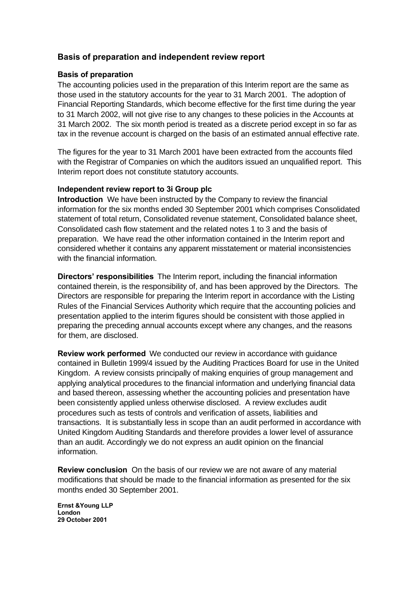### **Basis of preparation and independent review report**

#### **Basis of preparation**

The accounting policies used in the preparation of this Interim report are the same as those used in the statutory accounts for the year to 31 March 2001. The adoption of Financial Reporting Standards, which become effective for the first time during the year to 31 March 2002, will not give rise to any changes to these policies in the Accounts at 31 March 2002. The six month period is treated as a discrete period except in so far as tax in the revenue account is charged on the basis of an estimated annual effective rate.

The figures for the year to 31 March 2001 have been extracted from the accounts filed with the Registrar of Companies on which the auditors issued an unqualified report. This Interim report does not constitute statutory accounts.

#### **Independent review report to 3i Group plc**

**Introduction** We have been instructed by the Company to review the financial information for the six months ended 30 September 2001 which comprises Consolidated statement of total return, Consolidated revenue statement, Consolidated balance sheet, Consolidated cash flow statement and the related notes 1 to 3 and the basis of preparation. We have read the other information contained in the Interim report and considered whether it contains any apparent misstatement or material inconsistencies with the financial information.

**Directors' responsibilities** The Interim report, including the financial information contained therein, is the responsibility of, and has been approved by the Directors. The Directors are responsible for preparing the Interim report in accordance with the Listing Rules of the Financial Services Authority which require that the accounting policies and presentation applied to the interim figures should be consistent with those applied in preparing the preceding annual accounts except where any changes, and the reasons for them, are disclosed.

**Review work performed** We conducted our review in accordance with guidance contained in Bulletin 1999/4 issued by the Auditing Practices Board for use in the United Kingdom. A review consists principally of making enquiries of group management and applying analytical procedures to the financial information and underlying financial data and based thereon, assessing whether the accounting policies and presentation have been consistently applied unless otherwise disclosed. A review excludes audit procedures such as tests of controls and verification of assets, liabilities and transactions. It is substantially less in scope than an audit performed in accordance with United Kingdom Auditing Standards and therefore provides a lower level of assurance than an audit. Accordingly we do not express an audit opinion on the financial information.

**Review conclusion** On the basis of our review we are not aware of any material modifications that should be made to the financial information as presented for the six months ended 30 September 2001.

**Ernst &Young LLP London 29 October 2001**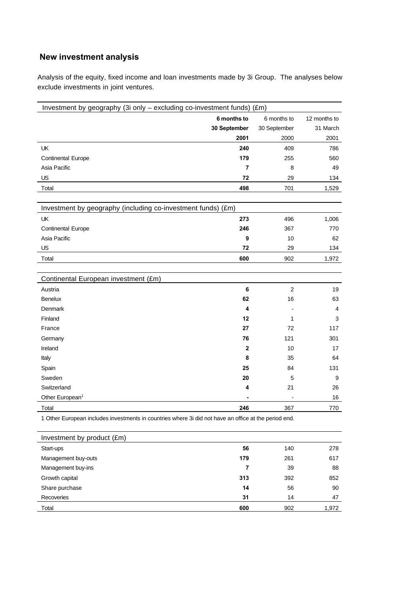## **New investment analysis**

Analysis of the equity, fixed income and loan investments made by 3i Group. The analyses below exclude investments in joint ventures.

| Investment by geography (3i only - excluding co-investment funds) (£m)                                |              |                |                |  |
|-------------------------------------------------------------------------------------------------------|--------------|----------------|----------------|--|
|                                                                                                       | 6 months to  | 6 months to    | 12 months to   |  |
|                                                                                                       | 30 September | 30 September   | 31 March       |  |
|                                                                                                       | 2001         | 2000           | 2001           |  |
| <b>UK</b>                                                                                             | 240          | 409            | 786            |  |
| <b>Continental Europe</b>                                                                             | 179          | 255            | 560            |  |
| Asia Pacific                                                                                          | 7            | 8              | 49             |  |
| US                                                                                                    | 72           | 29             | 134            |  |
| Total                                                                                                 | 498          | 701            | 1,529          |  |
|                                                                                                       |              |                |                |  |
| Investment by geography (including co-investment funds) (£m)                                          |              |                |                |  |
| UK                                                                                                    | 273          | 496            | 1,006          |  |
| <b>Continental Europe</b>                                                                             | 246          | 367            | 770            |  |
| Asia Pacific                                                                                          | 9            | 10             | 62             |  |
| US                                                                                                    | 72           | 29             | 134            |  |
| Total                                                                                                 | 600          | 902            | 1,972          |  |
|                                                                                                       |              |                |                |  |
| Continental European investment (£m)                                                                  |              |                |                |  |
| Austria                                                                                               | 6            | $\overline{c}$ | 19             |  |
| Benelux                                                                                               | 62           | 16             | 63             |  |
| Denmark                                                                                               | 4            |                | $\overline{4}$ |  |
| Finland                                                                                               | 12           | 1              | 3              |  |
| France                                                                                                | 27           | 72             | 117            |  |
| Germany                                                                                               | 76           | 121            | 301            |  |
| Ireland                                                                                               | $\mathbf 2$  | 10             | 17             |  |
| Italy                                                                                                 | 8            | 35             | 64             |  |
| Spain                                                                                                 | 25           | 84             | 131            |  |
| Sweden                                                                                                | 20           | 5              | 9              |  |
| Switzerland                                                                                           | 4            | 21             | 26             |  |
| Other European <sup>1</sup>                                                                           |              |                | 16             |  |
| Total                                                                                                 | 246          | 367            | 770            |  |
| 1 Other European includes investments in countries where 3i did not have an office at the period end. |              |                |                |  |

| Investment by product (£m) |     |     |       |
|----------------------------|-----|-----|-------|
| Start-ups                  | 56  | 140 | 278   |
| Management buy-outs        | 179 | 261 | 617   |
| Management buy-ins         | 7   | 39  | 88    |
| Growth capital             | 313 | 392 | 852   |
| Share purchase             | 14  | 56  | 90    |
| Recoveries                 | 31  | 14  | 47    |
| Total                      | 600 | 902 | 1,972 |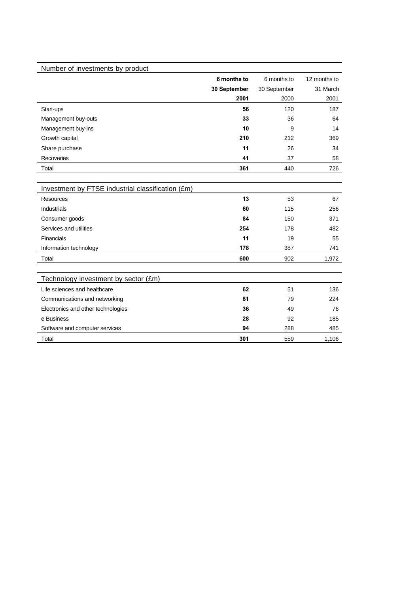| Number of investments by product                  |              |              |              |
|---------------------------------------------------|--------------|--------------|--------------|
|                                                   | 6 months to  | 6 months to  | 12 months to |
|                                                   | 30 September | 30 September | 31 March     |
|                                                   | 2001         | 2000         | 2001         |
| Start-ups                                         | 56           | 120          | 187          |
| Management buy-outs                               | 33           | 36           | 64           |
| Management buy-ins                                | 10           | 9            | 14           |
| Growth capital                                    | 210          | 212          | 369          |
| Share purchase                                    | 11           | 26           | 34           |
| Recoveries                                        | 41           | 37           | 58           |
| Total                                             | 361          | 440          | 726          |
|                                                   |              |              |              |
| Investment by FTSE industrial classification (£m) |              |              |              |
| <b>Resources</b>                                  | 13           | 53           | 67           |
| <b>Industrials</b>                                | 60           | 115          | 256          |
| Consumer goods                                    | 84           | 150          | 371          |
| Services and utilities                            | 254          | 178          | 482          |
| Financials                                        | 11           | 19           | 55           |
| Information technology                            | 178          | 387          | 741          |
| Total                                             | 600          | 902          | 1,972        |
|                                                   |              |              |              |
| Technology investment by sector (£m)              |              |              |              |
| Life sciences and healthcare                      | 62           | 51           | 136          |
| Communications and networking                     | 81           | 79           | 224          |
| Electronics and other technologies                | 36           | 49           | 76           |
| e Business                                        | 28           | 92           | 185          |
| Software and computer services                    | 94           | 288          | 485          |
| Total                                             | 301          | 559          | 1,106        |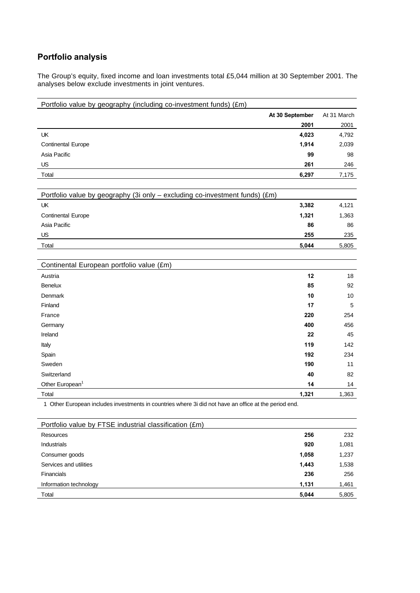## **Portfolio analysis**

The Group's equity, fixed income and loan investments total £5,044 million at 30 September 2001. The analyses below exclude investments in joint ventures.

| Portfolio value by geography (including co-investment funds) (£m)                                     |                 |             |
|-------------------------------------------------------------------------------------------------------|-----------------|-------------|
|                                                                                                       | At 30 September | At 31 March |
|                                                                                                       | 2001            | 2001        |
| UK                                                                                                    | 4,023           | 4,792       |
| <b>Continental Europe</b>                                                                             | 1,914           | 2,039       |
| Asia Pacific                                                                                          | 99              | 98          |
| US                                                                                                    | 261             | 246         |
| Total                                                                                                 | 6,297           | 7,175       |
|                                                                                                       |                 |             |
| Portfolio value by geography (3i only - excluding co-investment funds) (£m)                           |                 |             |
| UK                                                                                                    | 3,382           | 4,121       |
| <b>Continental Europe</b>                                                                             | 1,321           | 1,363       |
| Asia Pacific                                                                                          | 86              | 86          |
| US                                                                                                    | 255             | 235         |
| Total                                                                                                 | 5,044           | 5,805       |
|                                                                                                       |                 |             |
| Continental European portfolio value (£m)                                                             |                 |             |
| Austria                                                                                               | 12              | 18          |
| <b>Benelux</b>                                                                                        | 85              | 92          |
| Denmark                                                                                               | 10              | 10          |
| Finland                                                                                               | 17              | 5           |
| France                                                                                                | 220             | 254         |
| Germany                                                                                               | 400             | 456         |
| Ireland                                                                                               | 22              | 45          |
| Italy                                                                                                 | 119             | 142         |
| Spain                                                                                                 | 192             | 234         |
| Sweden                                                                                                | 190             | 11          |
| Switzerland                                                                                           | 40              | 82          |
| Other European <sup>1</sup>                                                                           | 14              | 14          |
| Total                                                                                                 | 1,321           | 1,363       |
| 1 Other European includes investments in countries where 3i did not have an office at the period end. |                 |             |
| Portfolio value by FTSE industrial classification (£m)                                                |                 |             |
| Resources                                                                                             | 256             | 232         |

| Resources              | 256   | 232   |
|------------------------|-------|-------|
| <b>Industrials</b>     | 920   | 1,081 |
| Consumer goods         | 1,058 | 1,237 |
| Services and utilities | 1,443 | 1,538 |
| Financials             | 236   | 256   |
| Information technology | 1,131 | 1,461 |
| Total                  | 5,044 | 5,805 |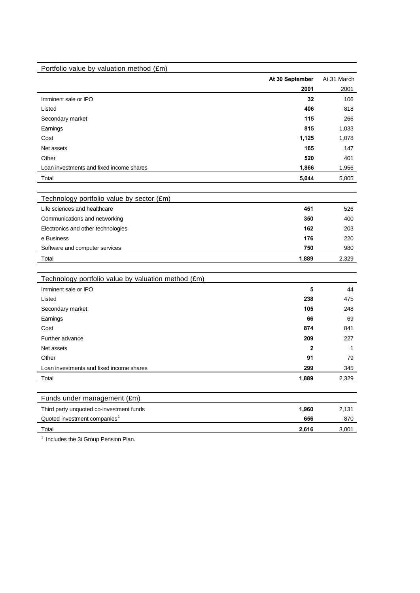| Portfolio value by valuation method (£m)            |                 |             |
|-----------------------------------------------------|-----------------|-------------|
|                                                     | At 30 September | At 31 March |
|                                                     | 2001            | 2001        |
| Imminent sale or IPO                                | 32              | 106         |
| Listed                                              | 406             | 818         |
| Secondary market                                    | 115             | 266         |
| Earnings                                            | 815             | 1,033       |
| Cost                                                | 1,125           | 1,078       |
| Net assets                                          | 165             | 147         |
| Other                                               | 520             | 401         |
| Loan investments and fixed income shares            | 1,866           | 1,956       |
| Total                                               | 5,044           | 5,805       |
|                                                     |                 |             |
| Technology portfolio value by sector (£m)           |                 |             |
| Life sciences and healthcare                        | 451             | 526         |
| Communications and networking                       | 350             | 400         |
| Electronics and other technologies                  | 162             | 203         |
| e Business                                          | 176             | 220         |
| Software and computer services                      | 750             | 980         |
| Total                                               | 1,889           | 2,329       |
|                                                     |                 |             |
| Technology portfolio value by valuation method (£m) |                 |             |
| Imminent sale or IPO                                | 5               | 44          |
| Listed                                              | 238             | 475         |
| Secondary market                                    | 105             | 248         |
| Earnings                                            | 66              | 69          |
| Cost                                                | 874             | 841         |
| Further advance                                     | 209             | 227         |
| Net assets                                          | 2               | 1           |
| Other                                               | 91              | 79          |
| Loan investments and fixed income shares            | 299             | 345         |
| Total                                               | 1.889           | 2.329       |
|                                                     |                 |             |
| Funds under management (£m)                         |                 |             |
| Third party unquoted co-investment funds            | 1,960           | 2,131       |
| Quoted investment companies <sup>1</sup>            | 656             | 870         |
| Total                                               | 2,616           | 3,001       |

<sup>1</sup> Includes the 3i Group Pension Plan.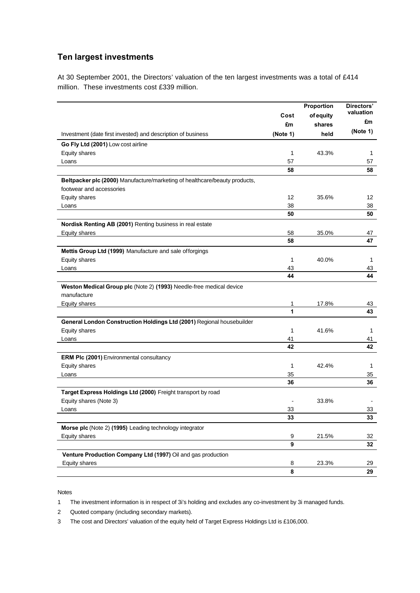### **Ten largest investments**

At 30 September 2001, the Directors' valuation of the ten largest investments was a total of £414 million. These investments cost £339 million.

|                                                                            | Cost<br>£m       | Proportion<br>of equity<br>shares | Directors'<br>valuation<br>£m |
|----------------------------------------------------------------------------|------------------|-----------------------------------|-------------------------------|
| Investment (date first invested) and description of business               | (Note 1)         | held                              | (Note 1)                      |
| Go Fly Ltd (2001) Low cost airline                                         |                  |                                   |                               |
| Equity shares                                                              | 1                | 43.3%                             | 1                             |
| Loans                                                                      | 57               |                                   | 57                            |
|                                                                            | 58               |                                   | 58                            |
| Beltpacker plc (2000) Manufacture/marketing of healthcare/beauty products, |                  |                                   |                               |
| footwear and accessories                                                   |                  |                                   |                               |
| Equity shares                                                              | 12               | 35.6%                             | 12                            |
| Loans                                                                      | 38               |                                   | 38                            |
|                                                                            | 50               |                                   | 50                            |
| Nordisk Renting AB (2001) Renting business in real estate                  |                  |                                   |                               |
| Equity shares                                                              | 58               | 35.0%                             | 47                            |
|                                                                            | 58               |                                   | 47                            |
| Mettis Group Ltd (1999) Manufacture and sale offorgings                    |                  |                                   |                               |
| Equity shares                                                              | 1                | 40.0%                             | 1                             |
| Loans                                                                      | 43               |                                   | 43                            |
|                                                                            | 44               |                                   | 44                            |
| Weston Medical Group plc (Note 2) (1993) Needle-free medical device        |                  |                                   |                               |
| manufacture                                                                |                  |                                   |                               |
| <b>Equity shares</b>                                                       | 1                | 17.8%                             | 43                            |
|                                                                            | 1                |                                   | 43                            |
| General London Construction Holdings Ltd (2001) Regional housebuilder      |                  |                                   |                               |
| Equity shares                                                              | 1                | 41.6%                             | 1                             |
| Loans                                                                      | 41               |                                   | 41                            |
|                                                                            | 42               |                                   | 42                            |
| <b>ERM PIc (2001)</b> Environmental consultancy                            |                  |                                   |                               |
| Equity shares                                                              | 1                | 42.4%                             | 1                             |
| Loans                                                                      | 35               |                                   | 35                            |
|                                                                            | 36               |                                   | 36                            |
| Target Express Holdings Ltd (2000) Freight transport by road               |                  |                                   |                               |
| Equity shares (Note 3)                                                     |                  | 33.8%                             |                               |
| Loans                                                                      | 33               |                                   | 33                            |
|                                                                            | 33               |                                   | 33                            |
| Morse plc (Note 2) (1995) Leading technology integrator                    |                  |                                   |                               |
| Equity shares                                                              | $\boldsymbol{9}$ | 21.5%                             | 32                            |
|                                                                            | 9                |                                   | 32                            |
| Venture Production Company Ltd (1997) Oil and gas production               |                  |                                   |                               |
| Equity shares                                                              | 8                | 23.3%                             | 29                            |
|                                                                            | 8                |                                   | 29                            |

Notes

1 The investment information is in respect of 3i's holding and excludes any co-investment by 3i managed funds.

2 Quoted company (including secondary markets).

3 The cost and Directors' valuation of the equity held of Target Express Holdings Ltd is £106,000.